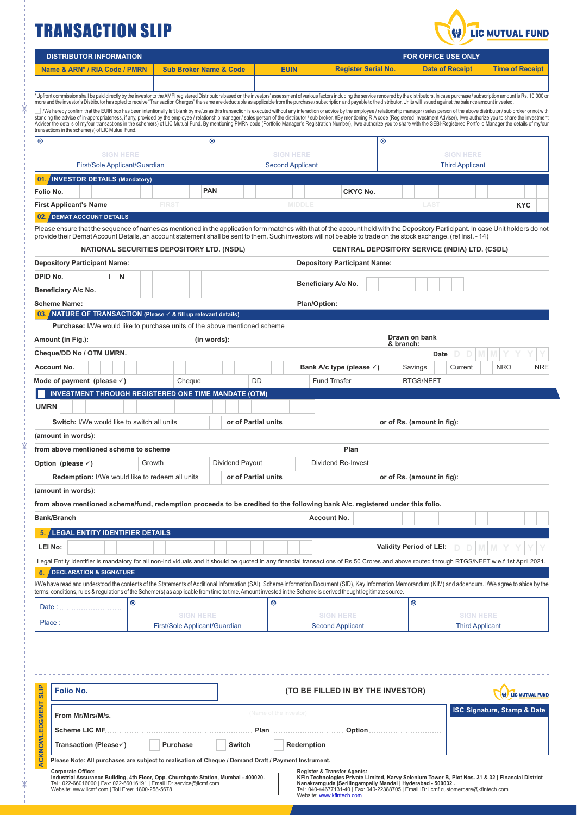## TRANSACTION SLIP



|                                                                                                                                                                                                                                                                                                                                                                                                                                                                  | <b>DISTRIBUTOR INFORMATION</b>                                                                                                                                                                                                                                                                                                                                             |                                                                                                                                                                                                                                                                                                                                                                                                                                                                                                                                                                       |                                                  |             |  |                     |   |                                             | <b>FOR OFFICE USE ONLY</b>          |                            |                                      |  |                                |                            |                        |                                                       |   |                                        |            |  |
|------------------------------------------------------------------------------------------------------------------------------------------------------------------------------------------------------------------------------------------------------------------------------------------------------------------------------------------------------------------------------------------------------------------------------------------------------------------|----------------------------------------------------------------------------------------------------------------------------------------------------------------------------------------------------------------------------------------------------------------------------------------------------------------------------------------------------------------------------|-----------------------------------------------------------------------------------------------------------------------------------------------------------------------------------------------------------------------------------------------------------------------------------------------------------------------------------------------------------------------------------------------------------------------------------------------------------------------------------------------------------------------------------------------------------------------|--------------------------------------------------|-------------|--|---------------------|---|---------------------------------------------|-------------------------------------|----------------------------|--------------------------------------|--|--------------------------------|----------------------------|------------------------|-------------------------------------------------------|---|----------------------------------------|------------|--|
| Name & ARN* / RIA Code / PMRN                                                                                                                                                                                                                                                                                                                                                                                                                                    |                                                                                                                                                                                                                                                                                                                                                                            |                                                                                                                                                                                                                                                                                                                                                                                                                                                                                                                                                                       | <b>Sub Broker Name &amp; Code</b><br><b>EUIN</b> |             |  |                     |   |                                             |                                     | <b>Register Serial No.</b> |                                      |  |                                | <b>Date of Receipt</b>     |                        |                                                       |   | <b>Time of Receipt</b>                 |            |  |
|                                                                                                                                                                                                                                                                                                                                                                                                                                                                  |                                                                                                                                                                                                                                                                                                                                                                            |                                                                                                                                                                                                                                                                                                                                                                                                                                                                                                                                                                       |                                                  |             |  |                     |   |                                             |                                     |                            |                                      |  |                                |                            |                        |                                                       |   |                                        |            |  |
|                                                                                                                                                                                                                                                                                                                                                                                                                                                                  | *Upfront commission shall be paid directly by the investor to the AMFI registered Distributors based on the investors' assessment of various factors including the service rendered by the distributors. In case purchase / su                                                                                                                                             |                                                                                                                                                                                                                                                                                                                                                                                                                                                                                                                                                                       |                                                  |             |  |                     |   |                                             |                                     |                            |                                      |  |                                |                            |                        |                                                       |   |                                        |            |  |
| more and the investor's Distributor has opted to receive "Transaction Charges" the same are deductable as applicable from the purchase / subscription and payable to the distributor. Units will issued against the balance am<br>We hereby confirm that the EUIN box has been intentionally left blank by me/us as this transaction is executed without any interaction or advice by the employee / relationship manager / sales person of the above distributo |                                                                                                                                                                                                                                                                                                                                                                            |                                                                                                                                                                                                                                                                                                                                                                                                                                                                                                                                                                       |                                                  |             |  |                     |   |                                             |                                     |                            |                                      |  |                                |                            |                        |                                                       |   |                                        |            |  |
| standing the advice of in-appropriateness, if any, provided by the employee / relationship manager / sales person of the distributor / sub broker. #By mentioning RIA code (Registered Investment Adviser), I/we authorize you<br>Adviser the details of my/our transactions in the scheme(s) of LIC Mutual Fund. By mentioning PMRN code (Portfolio Manager's Registration Number), I/we authorize you to share with the SEBI-Registered Portfolio Manager the  |                                                                                                                                                                                                                                                                                                                                                                            |                                                                                                                                                                                                                                                                                                                                                                                                                                                                                                                                                                       |                                                  |             |  |                     |   |                                             |                                     |                            |                                      |  |                                |                            |                        |                                                       |   |                                        |            |  |
| $^{\circ}$                                                                                                                                                                                                                                                                                                                                                                                                                                                       | transactions in the scheme(s) of LIC Mutual Fund.                                                                                                                                                                                                                                                                                                                          |                                                                                                                                                                                                                                                                                                                                                                                                                                                                                                                                                                       |                                                  | $^{\circ}$  |  |                     |   |                                             |                                     |                            |                                      |  | ⊗                              |                            |                        |                                                       |   |                                        |            |  |
|                                                                                                                                                                                                                                                                                                                                                                                                                                                                  |                                                                                                                                                                                                                                                                                                                                                                            |                                                                                                                                                                                                                                                                                                                                                                                                                                                                                                                                                                       |                                                  |             |  |                     |   |                                             |                                     |                            |                                      |  |                                |                            |                        | <b>SIGN HERE</b>                                      |   |                                        |            |  |
| <b>SIGN HERE</b><br>First/Sole Applicant/Guardian                                                                                                                                                                                                                                                                                                                                                                                                                |                                                                                                                                                                                                                                                                                                                                                                            |                                                                                                                                                                                                                                                                                                                                                                                                                                                                                                                                                                       |                                                  |             |  |                     |   | <b>SIGN HERE</b><br><b>Second Applicant</b> |                                     |                            |                                      |  |                                |                            | <b>Third Applicant</b> |                                                       |   |                                        |            |  |
| 01                                                                                                                                                                                                                                                                                                                                                                                                                                                               | <b>INVESTOR DETAILS (Mandatory)</b>                                                                                                                                                                                                                                                                                                                                        |                                                                                                                                                                                                                                                                                                                                                                                                                                                                                                                                                                       |                                                  |             |  |                     |   |                                             |                                     |                            |                                      |  |                                |                            |                        |                                                       |   |                                        |            |  |
| Folio No.                                                                                                                                                                                                                                                                                                                                                                                                                                                        |                                                                                                                                                                                                                                                                                                                                                                            |                                                                                                                                                                                                                                                                                                                                                                                                                                                                                                                                                                       |                                                  | <b>PAN</b>  |  |                     |   |                                             |                                     |                            | <b>CKYC No.</b>                      |  |                                |                            |                        |                                                       |   |                                        |            |  |
|                                                                                                                                                                                                                                                                                                                                                                                                                                                                  | <b>First Applicant's Name</b>                                                                                                                                                                                                                                                                                                                                              | <b>FIRST</b>                                                                                                                                                                                                                                                                                                                                                                                                                                                                                                                                                          |                                                  |             |  |                     |   |                                             | <b>MIDDLE</b>                       |                            |                                      |  |                                |                            | <b>LAST</b>            |                                                       |   | <b>KYC</b>                             |            |  |
|                                                                                                                                                                                                                                                                                                                                                                                                                                                                  | 02. DEMAT ACCOUNT DETAILS                                                                                                                                                                                                                                                                                                                                                  |                                                                                                                                                                                                                                                                                                                                                                                                                                                                                                                                                                       |                                                  |             |  |                     |   |                                             |                                     |                            |                                      |  |                                |                            |                        |                                                       |   |                                        |            |  |
|                                                                                                                                                                                                                                                                                                                                                                                                                                                                  | Please ensure that the sequence of names as mentioned in the application form matches with that of the account held with the Depository Participant. In case Unit holders do not                                                                                                                                                                                           |                                                                                                                                                                                                                                                                                                                                                                                                                                                                                                                                                                       |                                                  |             |  |                     |   |                                             |                                     |                            |                                      |  |                                |                            |                        |                                                       |   |                                        |            |  |
|                                                                                                                                                                                                                                                                                                                                                                                                                                                                  | provide their Demat Account Details, an account statement shall be sent to them. Such investors will not be able to trade on the stock exchange. (ref Inst. - 14)<br>NATIONAL SECURITIES DEPOSITORY LTD. (NSDL)                                                                                                                                                            |                                                                                                                                                                                                                                                                                                                                                                                                                                                                                                                                                                       |                                                  |             |  |                     |   |                                             |                                     |                            |                                      |  |                                |                            |                        | <b>CENTRAL DEPOSITORY SERVICE (INDIA) LTD. (CSDL)</b> |   |                                        |            |  |
|                                                                                                                                                                                                                                                                                                                                                                                                                                                                  | <b>Depository Participant Name:</b>                                                                                                                                                                                                                                                                                                                                        |                                                                                                                                                                                                                                                                                                                                                                                                                                                                                                                                                                       |                                                  |             |  |                     |   |                                             |                                     |                            |                                      |  |                                |                            |                        |                                                       |   |                                        |            |  |
| DPID No.<br>$\mathbf{I}$<br>N                                                                                                                                                                                                                                                                                                                                                                                                                                    |                                                                                                                                                                                                                                                                                                                                                                            |                                                                                                                                                                                                                                                                                                                                                                                                                                                                                                                                                                       |                                                  |             |  |                     |   |                                             | <b>Depository Participant Name:</b> |                            |                                      |  |                                |                            |                        |                                                       |   |                                        |            |  |
| Beneficiary A/c No.                                                                                                                                                                                                                                                                                                                                                                                                                                              |                                                                                                                                                                                                                                                                                                                                                                            |                                                                                                                                                                                                                                                                                                                                                                                                                                                                                                                                                                       |                                                  |             |  |                     |   |                                             | Beneficiary A/c No.                 |                            |                                      |  |                                |                            |                        |                                                       |   |                                        |            |  |
|                                                                                                                                                                                                                                                                                                                                                                                                                                                                  | <b>Scheme Name:</b>                                                                                                                                                                                                                                                                                                                                                        |                                                                                                                                                                                                                                                                                                                                                                                                                                                                                                                                                                       |                                                  |             |  |                     |   |                                             | Plan/Option:                        |                            |                                      |  |                                |                            |                        |                                                       |   |                                        |            |  |
|                                                                                                                                                                                                                                                                                                                                                                                                                                                                  | $\sqrt{\ }$ NATURE OF TRANSACTION (Please $\leq$ & fill up relevant details)                                                                                                                                                                                                                                                                                               |                                                                                                                                                                                                                                                                                                                                                                                                                                                                                                                                                                       |                                                  |             |  |                     |   |                                             |                                     |                            |                                      |  |                                |                            |                        |                                                       |   |                                        |            |  |
|                                                                                                                                                                                                                                                                                                                                                                                                                                                                  | <b>Purchase:</b> I/We would like to purchase units of the above mentioned scheme                                                                                                                                                                                                                                                                                           |                                                                                                                                                                                                                                                                                                                                                                                                                                                                                                                                                                       |                                                  |             |  |                     |   |                                             |                                     |                            |                                      |  |                                |                            |                        |                                                       |   |                                        |            |  |
|                                                                                                                                                                                                                                                                                                                                                                                                                                                                  | Amount (in Fig.):                                                                                                                                                                                                                                                                                                                                                          |                                                                                                                                                                                                                                                                                                                                                                                                                                                                                                                                                                       |                                                  | (in words): |  |                     |   |                                             |                                     |                            |                                      |  |                                | Drawn on bank<br>& branch: |                        |                                                       |   |                                        |            |  |
|                                                                                                                                                                                                                                                                                                                                                                                                                                                                  | Cheque/DD No / OTM UMRN.                                                                                                                                                                                                                                                                                                                                                   |                                                                                                                                                                                                                                                                                                                                                                                                                                                                                                                                                                       |                                                  |             |  |                     |   |                                             |                                     |                            |                                      |  |                                |                            | Date                   |                                                       | M |                                        |            |  |
|                                                                                                                                                                                                                                                                                                                                                                                                                                                                  | Account No.                                                                                                                                                                                                                                                                                                                                                                |                                                                                                                                                                                                                                                                                                                                                                                                                                                                                                                                                                       |                                                  |             |  |                     |   |                                             |                                     |                            | Bank A/c type (please $\checkmark$ ) |  |                                | Savings                    |                        | Current                                               |   | <b>NRO</b>                             | <b>NRE</b> |  |
|                                                                                                                                                                                                                                                                                                                                                                                                                                                                  | Mode of payment (please $\checkmark$ )                                                                                                                                                                                                                                                                                                                                     |                                                                                                                                                                                                                                                                                                                                                                                                                                                                                                                                                                       | Cheque                                           |             |  | DD                  |   |                                             |                                     | <b>Fund Trnsfer</b>        |                                      |  |                                | RTGS/NEFT                  |                        |                                                       |   |                                        |            |  |
|                                                                                                                                                                                                                                                                                                                                                                                                                                                                  | <b>INVESTMENT THROUGH REGISTERED ONE TIME MANDATE (OTM)</b>                                                                                                                                                                                                                                                                                                                |                                                                                                                                                                                                                                                                                                                                                                                                                                                                                                                                                                       |                                                  |             |  |                     |   |                                             |                                     |                            |                                      |  |                                |                            |                        |                                                       |   |                                        |            |  |
| <b>UMRN</b>                                                                                                                                                                                                                                                                                                                                                                                                                                                      |                                                                                                                                                                                                                                                                                                                                                                            |                                                                                                                                                                                                                                                                                                                                                                                                                                                                                                                                                                       |                                                  |             |  |                     |   |                                             |                                     |                            |                                      |  |                                |                            |                        |                                                       |   |                                        |            |  |
|                                                                                                                                                                                                                                                                                                                                                                                                                                                                  | <b>Switch:</b> I/We would like to switch all units                                                                                                                                                                                                                                                                                                                         |                                                                                                                                                                                                                                                                                                                                                                                                                                                                                                                                                                       |                                                  |             |  | or of Partial units |   |                                             |                                     |                            |                                      |  | or of Rs. (amount in fig):     |                            |                        |                                                       |   |                                        |            |  |
|                                                                                                                                                                                                                                                                                                                                                                                                                                                                  | (amount in words):                                                                                                                                                                                                                                                                                                                                                         |                                                                                                                                                                                                                                                                                                                                                                                                                                                                                                                                                                       |                                                  |             |  |                     |   |                                             |                                     |                            |                                      |  |                                |                            |                        |                                                       |   |                                        |            |  |
|                                                                                                                                                                                                                                                                                                                                                                                                                                                                  | from above mentioned scheme to scheme                                                                                                                                                                                                                                                                                                                                      |                                                                                                                                                                                                                                                                                                                                                                                                                                                                                                                                                                       |                                                  |             |  |                     |   |                                             |                                     |                            | Plan                                 |  |                                |                            |                        |                                                       |   |                                        |            |  |
| Growth<br>Dividend Payout<br>Option (please $\checkmark$ )                                                                                                                                                                                                                                                                                                                                                                                                       |                                                                                                                                                                                                                                                                                                                                                                            |                                                                                                                                                                                                                                                                                                                                                                                                                                                                                                                                                                       |                                                  |             |  |                     |   | Dividend Re-Invest                          |                                     |                            |                                      |  |                                |                            |                        |                                                       |   |                                        |            |  |
| <b>Redemption: I/We would like to redeem all units</b><br>or of Partial units<br>or of Rs. (amount in fig):                                                                                                                                                                                                                                                                                                                                                      |                                                                                                                                                                                                                                                                                                                                                                            |                                                                                                                                                                                                                                                                                                                                                                                                                                                                                                                                                                       |                                                  |             |  |                     |   |                                             |                                     |                            |                                      |  |                                |                            |                        |                                                       |   |                                        |            |  |
|                                                                                                                                                                                                                                                                                                                                                                                                                                                                  | (amount in words):                                                                                                                                                                                                                                                                                                                                                         |                                                                                                                                                                                                                                                                                                                                                                                                                                                                                                                                                                       |                                                  |             |  |                     |   |                                             |                                     |                            |                                      |  |                                |                            |                        |                                                       |   |                                        |            |  |
|                                                                                                                                                                                                                                                                                                                                                                                                                                                                  | from above mentioned scheme/fund, redemption proceeds to be credited to the following bank A/c. registered under this folio.                                                                                                                                                                                                                                               |                                                                                                                                                                                                                                                                                                                                                                                                                                                                                                                                                                       |                                                  |             |  |                     |   |                                             |                                     |                            |                                      |  |                                |                            |                        |                                                       |   |                                        |            |  |
|                                                                                                                                                                                                                                                                                                                                                                                                                                                                  | <b>Bank/Branch</b>                                                                                                                                                                                                                                                                                                                                                         |                                                                                                                                                                                                                                                                                                                                                                                                                                                                                                                                                                       |                                                  |             |  |                     |   |                                             |                                     | Account No.                |                                      |  |                                |                            |                        |                                                       |   |                                        |            |  |
|                                                                                                                                                                                                                                                                                                                                                                                                                                                                  | 5. LEGAL ENTITY IDENTIFIER DETAILS                                                                                                                                                                                                                                                                                                                                         |                                                                                                                                                                                                                                                                                                                                                                                                                                                                                                                                                                       |                                                  |             |  |                     |   |                                             |                                     |                            |                                      |  |                                |                            |                        |                                                       |   |                                        |            |  |
|                                                                                                                                                                                                                                                                                                                                                                                                                                                                  | LEI No:                                                                                                                                                                                                                                                                                                                                                                    |                                                                                                                                                                                                                                                                                                                                                                                                                                                                                                                                                                       |                                                  |             |  |                     |   |                                             |                                     |                            |                                      |  | <b>Validity Period of LEI:</b> |                            |                        |                                                       |   |                                        |            |  |
|                                                                                                                                                                                                                                                                                                                                                                                                                                                                  | Legal Entity Identifier is mandatory for all non-individuals and it should be quoted in any financial transactions of Rs.50 Crores and above routed through RTGS/NEFT w.e.f 1st April 2021.                                                                                                                                                                                |                                                                                                                                                                                                                                                                                                                                                                                                                                                                                                                                                                       |                                                  |             |  |                     |   |                                             |                                     |                            |                                      |  |                                |                            |                        |                                                       |   |                                        |            |  |
|                                                                                                                                                                                                                                                                                                                                                                                                                                                                  | <b>DECLARATION &amp; SIGNATURE</b>                                                                                                                                                                                                                                                                                                                                         |                                                                                                                                                                                                                                                                                                                                                                                                                                                                                                                                                                       |                                                  |             |  |                     |   |                                             |                                     |                            |                                      |  |                                |                            |                        |                                                       |   |                                        |            |  |
|                                                                                                                                                                                                                                                                                                                                                                                                                                                                  | I/We have read and understood the contents of the Statements of Additional Information (SAI), Scheme information Document (SID), Key Information Memorandum (KIM) and addendum. I/We agree to abide by the<br>terms, conditions, rules & regulations of the Scheme(s) as applicable from time to time. Amount invested in the Scheme is derived thought legitimate source. |                                                                                                                                                                                                                                                                                                                                                                                                                                                                                                                                                                       |                                                  |             |  |                     |   |                                             |                                     |                            |                                      |  |                                |                            |                        |                                                       |   |                                        |            |  |
| Date:                                                                                                                                                                                                                                                                                                                                                                                                                                                            |                                                                                                                                                                                                                                                                                                                                                                            | $^{\circ}$                                                                                                                                                                                                                                                                                                                                                                                                                                                                                                                                                            |                                                  |             |  |                     | ⊗ |                                             |                                     |                            |                                      |  |                                | ⊗                          |                        |                                                       |   |                                        |            |  |
|                                                                                                                                                                                                                                                                                                                                                                                                                                                                  | Place:                                                                                                                                                                                                                                                                                                                                                                     |                                                                                                                                                                                                                                                                                                                                                                                                                                                                                                                                                                       | <b>SIGN HERE</b>                                 |             |  |                     |   |                                             |                                     | <b>SIGN HERE</b>           |                                      |  |                                |                            |                        | <b>SIGN HERE</b>                                      |   |                                        |            |  |
|                                                                                                                                                                                                                                                                                                                                                                                                                                                                  |                                                                                                                                                                                                                                                                                                                                                                            |                                                                                                                                                                                                                                                                                                                                                                                                                                                                                                                                                                       | First/Sole Applicant/Guardian                    |             |  |                     |   |                                             |                                     |                            | <b>Second Applicant</b>              |  |                                |                            |                        | <b>Third Applicant</b>                                |   |                                        |            |  |
|                                                                                                                                                                                                                                                                                                                                                                                                                                                                  |                                                                                                                                                                                                                                                                                                                                                                            |                                                                                                                                                                                                                                                                                                                                                                                                                                                                                                                                                                       |                                                  |             |  |                     |   |                                             |                                     |                            |                                      |  |                                |                            |                        |                                                       |   |                                        |            |  |
|                                                                                                                                                                                                                                                                                                                                                                                                                                                                  |                                                                                                                                                                                                                                                                                                                                                                            |                                                                                                                                                                                                                                                                                                                                                                                                                                                                                                                                                                       |                                                  |             |  |                     |   |                                             |                                     |                            |                                      |  |                                |                            |                        |                                                       |   |                                        |            |  |
|                                                                                                                                                                                                                                                                                                                                                                                                                                                                  |                                                                                                                                                                                                                                                                                                                                                                            |                                                                                                                                                                                                                                                                                                                                                                                                                                                                                                                                                                       |                                                  |             |  |                     |   |                                             |                                     |                            |                                      |  |                                |                            |                        |                                                       |   |                                        |            |  |
| <b>SLIP</b>                                                                                                                                                                                                                                                                                                                                                                                                                                                      | Folio No.                                                                                                                                                                                                                                                                                                                                                                  |                                                                                                                                                                                                                                                                                                                                                                                                                                                                                                                                                                       |                                                  |             |  |                     |   |                                             |                                     |                            | (TO BE FILLED IN BY THE INVESTOR)    |  |                                |                            |                        | LIC MUTUAL FUND                                       |   |                                        |            |  |
|                                                                                                                                                                                                                                                                                                                                                                                                                                                                  |                                                                                                                                                                                                                                                                                                                                                                            |                                                                                                                                                                                                                                                                                                                                                                                                                                                                                                                                                                       |                                                  |             |  |                     |   | (Name of the investor)                      |                                     |                            |                                      |  |                                |                            |                        |                                                       |   | <b>ISC Signature, Stamp &amp; Date</b> |            |  |
|                                                                                                                                                                                                                                                                                                                                                                                                                                                                  | From Mr/Mrs/M/s.                                                                                                                                                                                                                                                                                                                                                           |                                                                                                                                                                                                                                                                                                                                                                                                                                                                                                                                                                       |                                                  |             |  |                     |   |                                             |                                     |                            |                                      |  |                                |                            |                        |                                                       |   |                                        |            |  |
|                                                                                                                                                                                                                                                                                                                                                                                                                                                                  | <b>Scheme LIC MF.</b>                                                                                                                                                                                                                                                                                                                                                      |                                                                                                                                                                                                                                                                                                                                                                                                                                                                                                                                                                       |                                                  |             |  |                     |   |                                             | Plan<br>Option                      |                            |                                      |  |                                |                            |                        |                                                       |   |                                        |            |  |
| ACKNOWLEDGMENT                                                                                                                                                                                                                                                                                                                                                                                                                                                   | Transaction (Please√)                                                                                                                                                                                                                                                                                                                                                      | Purchase<br>Switch<br>Redemption                                                                                                                                                                                                                                                                                                                                                                                                                                                                                                                                      |                                                  |             |  |                     |   |                                             |                                     |                            |                                      |  |                                |                            |                        |                                                       |   |                                        |            |  |
|                                                                                                                                                                                                                                                                                                                                                                                                                                                                  | Please Note: All purchases are subject to realisation of Cheque / Demand Draft / Payment Instrument.                                                                                                                                                                                                                                                                       |                                                                                                                                                                                                                                                                                                                                                                                                                                                                                                                                                                       |                                                  |             |  |                     |   |                                             |                                     |                            |                                      |  |                                |                            |                        |                                                       |   |                                        |            |  |
|                                                                                                                                                                                                                                                                                                                                                                                                                                                                  |                                                                                                                                                                                                                                                                                                                                                                            | Register & Transfer Agents:<br><b>Corporate Office:</b><br>Industrial Assurance Building, 4th Floor, Opp. Churchgate Station, Mumbai - 400020.<br>KFin Technologies Private Limited, Karvy Selenium Tower B, Plot Nos. 31 & 32   Financial District<br>Tel.: 022-66016000   Fax: 022-66016191   Email ID: service@licmf.com<br>Nanakramguda   Serilingampally Mandal   Hyderabad - 500032.<br>Tel.: 040-44677131-40   Fax: 040-22388705   Email ID: licmf.customercare@kfintech.com<br>Website: www.licmf.com   Toll Free: 1800-258-5678<br>Website: www.kfintech.com |                                                  |             |  |                     |   |                                             |                                     |                            |                                      |  |                                |                            |                        |                                                       |   |                                        |            |  |